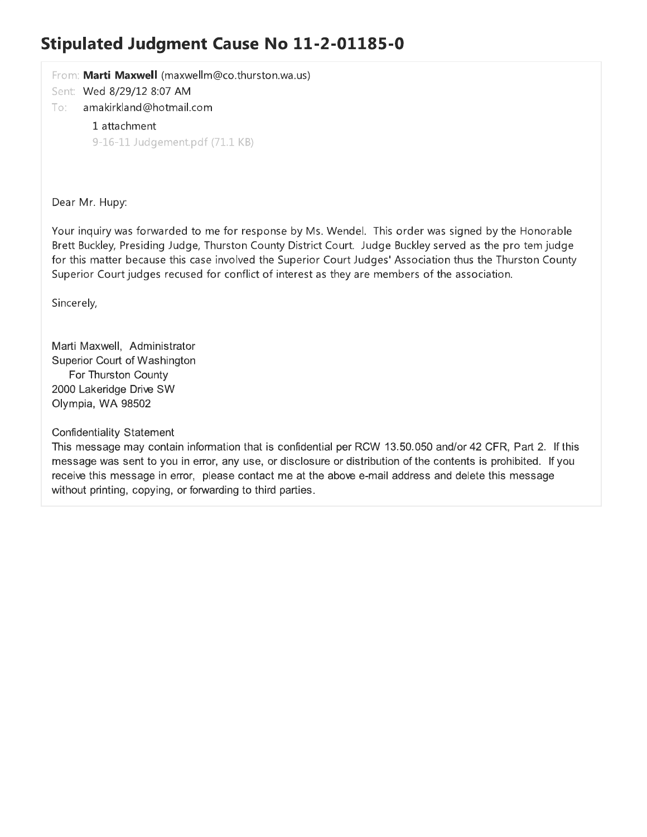### **Stipulated Judgment Cause No 11-2-01185-0**

From: Marti Maxwell (maxwellm@co.thurston.wa.us)

Sent: Wed 8/29/12 8:07 AM

#### To: amakirkland@hotmail.com

1 attachment 9-16-11 Judgement.pdf (71.1 KB)

Dear Mr. Hupy:

Your inquiry was forwarded to me for response by Ms. Wendel. This order was signed by the Honorable Brett Buckley, Presiding Judge, Thurston County District Court. Judge Buckley served as the pro tem judge for this matter because this case involved the Superior Court Judges' Association thus the Thurston County Superior Court judges recused for conflict of interest as they are members of the association.

Sincerely,

Marti Maxwell, Administrator Superior Court of Washington For Thurston County 2000 Lakeridge Drive SW Olympia, WA 98502

**Confidentiality Statement** 

This message may contain information that is confidential per RCW 13.50.050 and/or 42 CFR, Part 2. If this message was sent to you in error, any use, or disclosure or distribution of the contents is prohibited. If you receive this message in error, please contact me at the above e-mail address and delete this message without printing, copying, or forwarding to third parties.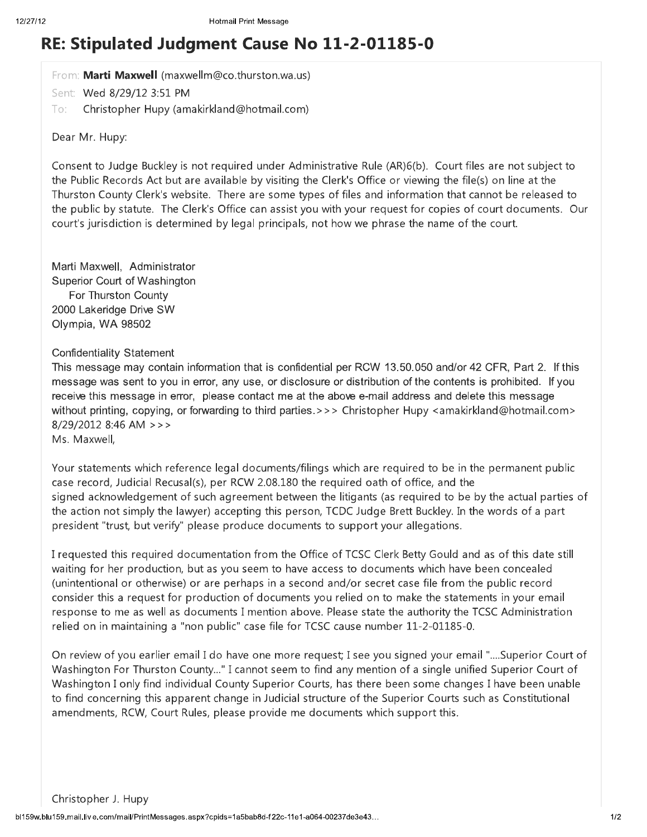## RE: Stipulated Judgment Cause No 11-2-01185-0

From: Marti Maxwell (maxwellm@co.thurston.wa.us)

Sent: Wed 8/29/12 3:51 PM

Christopher Hupy (amakirkland@hotmail.com) To:

Dear Mr. Hupy:

Consent to Judge Buckley is not required under Administrative Rule (AR)6(b). Court files are not subject to the Public Records Act but are available by visiting the Clerk's Office or viewing the file(s) on line at the Thurston County Clerk's website. There are some types of files and information that cannot be released to the public by statute. The Clerk's Office can assist you with your request for copies of court documents. Our court's jurisdiction is determined by legal principals, not how we phrase the name of the court.

Marti Maxwell, Administrator Superior Court of Washington For Thurston County 2000 Lakeridge Drive SW Olympia, WA 98502

#### **Confidentiality Statement**

This message may contain information that is confidential per RCW 13.50.050 and/or 42 CFR, Part 2. If this message was sent to you in error, any use, or disclosure or distribution of the contents is prohibited. If you receive this message in error, please contact me at the above e-mail address and delete this message without printing, copying, or forwarding to third parties.>>> Christopher Hupy <amakirkland@hotmail.com> 8/29/2012 8:46 AM >>>

Ms. Maxwell,

Your statements which reference legal documents/filings which are required to be in the permanent public case record, Judicial Recusal(s), per RCW 2.08.180 the required oath of office, and the signed acknowledgement of such agreement between the litigants (as reguired to be by the actual parties of the action not simply the lawyer) accepting this person, TCDC Judge Brett Buckley. In the words of a part president "trust, but verify" please produce documents to support your allegations.

I requested this required documentation from the Office of TCSC Clerk Betty Gould and as of this date still waiting for her production, but as you seem to have access to documents which have been concealed (unintentional or otherwise) or are perhaps in a second and/or secret case file from the public record consider this a request for production of documents you relied on to make the statements in your email response to me as well as documents I mention above. Please state the authority the TCSC Administration relied on in maintaining a "non public" case file for TCSC cause number 11-2-01185-0.

On review of you earlier email I do have one more request; I see you signed your email "....Superior Court of Washington For Thurston County..." I cannot seem to find any mention of a single unified Superior Court of Washington I only find individual County Superior Courts, has there been some changes I have been unable to find concerning this apparent change in Judicial structure of the Superior Courts such as Constitutional amendments, RCW, Court Rules, please provide me documents which support this.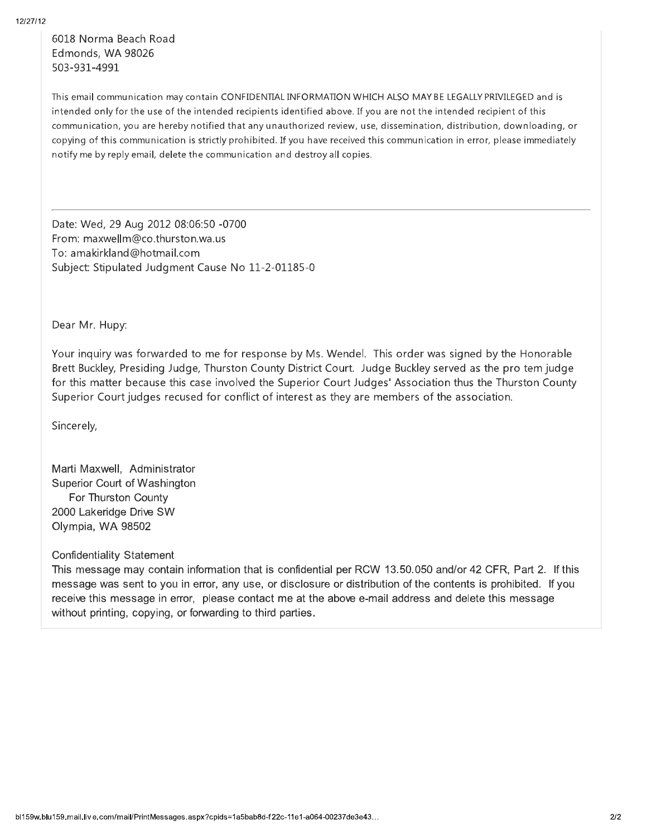6018 Norma Beach Road Edmonds, WA 98026 503-931-4991

This email communication may contain CONFIDENTIAL INFORMATION WHICH ALSO MAY BE LEGALLY PRIVILEGED and is intended only for the use of the intended recipients identified above. If you are not the intended recipient of this communication, you are hereby notified that any unauthorized review, use, dissemination, distribution, downloading, or copying of this communication is strictly prohibited. If you have received this communication in error, please immediately notify me by reply email, delete the communication and destroy all copies.

Date: Wed, 29 Aug 2012 08:06:50 -0700 From: maxwellm@co.thurston.wa.us To: amakirkland@hotmail.com Subject: Stipulated Judgment Cause No 11-2-01185-0

Dear Mr. Hupy:

Your inquiry was forwarded to me for response by Ms. Wendel. This order was signed by the Honorable Brett Buckley, Presiding Judge, Thurston County District Court. Judge Buckley served as the pro tem judge for this matter because this case involved the Superior Court Judges' Association thus the Thurston County Superior Court judges recused for conflict of interest as they are members of the association.

Sincerely,

Marti Maxwell. Administrator Superior Court of Washington For Thurston County 2000 Lakeridge Drive SW Olympia, WA 98502

**Confidentiality Statement** 

This message may contain information that is confidential per RCW 13.50.050 and/or 42 CFR, Part 2. If this message was sent to you in error, any use, or disclosure or distribution of the contents is prohibited. If you receive this message in error, please contact me at the above e-mail address and delete this message without printing, copying, or forwarding to third parties.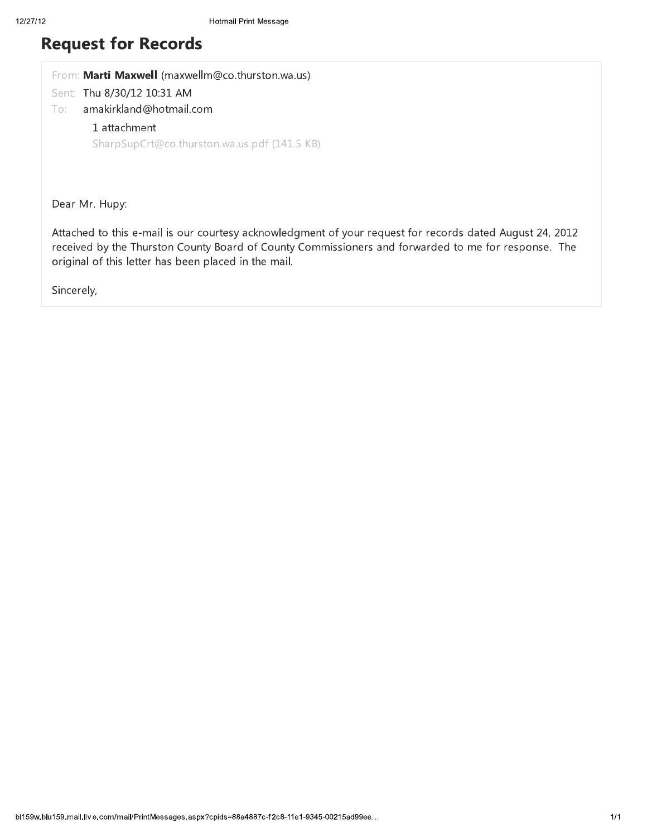## **Request for Records**

| From: Marti Maxwell (maxwellm@co.thurston.wa.us) |
|--------------------------------------------------|
| Sent: Thu 8/30/12 10:31 AM                       |
| amakirkland@hotmail.com<br>To:                   |
| 1 attachment                                     |
| SharpSupCrt@co.thurston.wa.us.pdf (141.5 KB)     |
|                                                  |

Dear Mr. Hupy:

Attached to this e-mail is our courtesy acknowledgment of your request for records dated August 24, 2012 received by the Thurston County Board of County Commissioners and forwarded to me for response. The original of this letter has been placed in the mail.

Sincerely,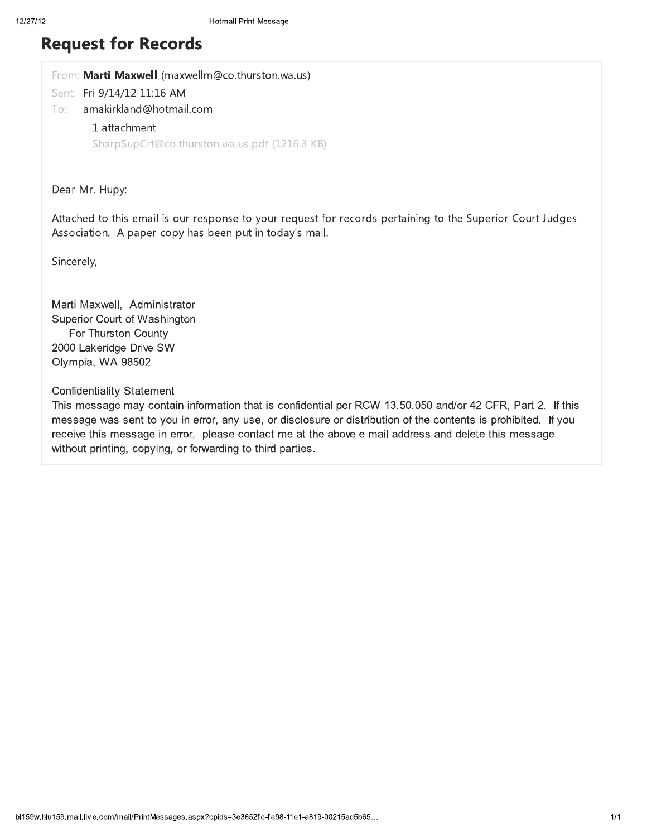### **Request for Records**

From: Marti Maxwell (maxwellm@co.thurston.wa.us)

Sent: Fri 9/14/12 11:16 AM

amakirkland@hotmail.com To:

#### 1 attachment

SharpSupCrt@co.thurston.wa.us.pdf (1216.3 KB)

Dear Mr. Hupy:

Attached to this email is our response to your request for records pertaining to the Superior Court Judges Association. A paper copy has been put in today's mail.

Sincerely,

Marti Maxwell, Administrator Superior Court of Washington For Thurston County 2000 Lakeridge Drive SW Olympia, WA 98502

#### **Confidentiality Statement**

This message may contain information that is confidential per RCW 13.50.050 and/or 42 CFR, Part 2. If this message was sent to you in error, any use, or disclosure or distribution of the contents is prohibited. If you receive this message in error, please contact me at the above e-mail address and delete this message without printing, copying, or forwarding to third parties.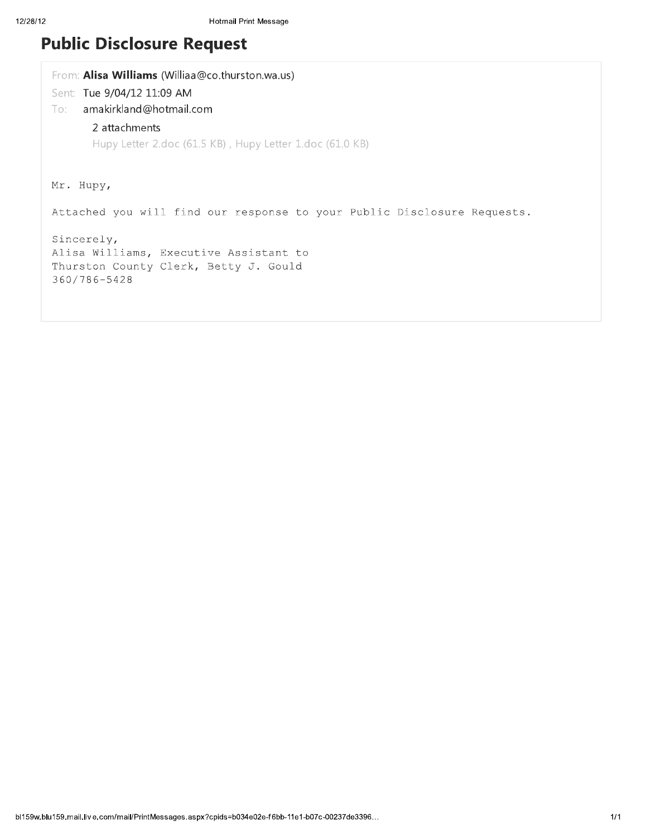# **Public Disclosure Request**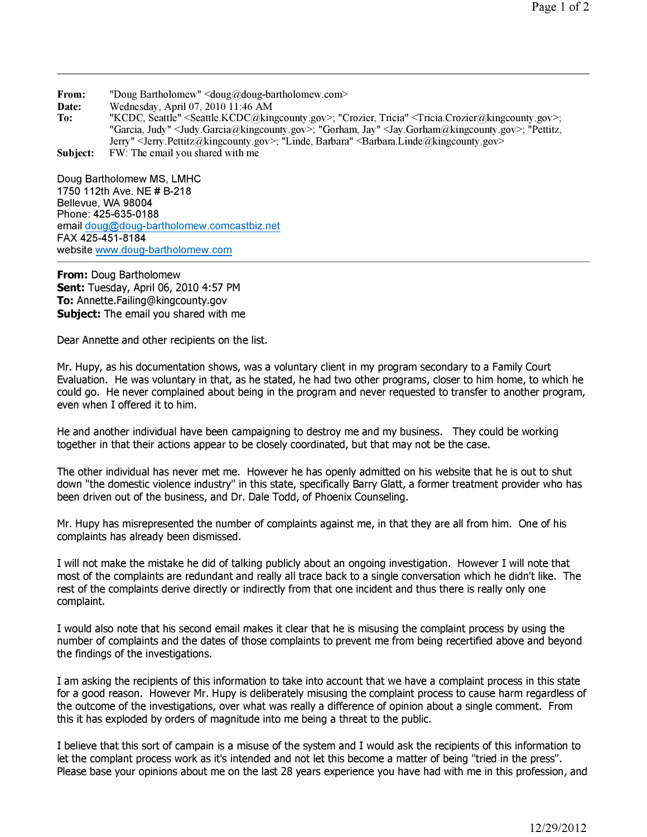From: "Doug Bartholomew" <doug@doug-bartholomew.com>

Date: Wednesday, April 07, 2010 11:46 AM<br>To: "KCDC. Seattle" <Seattle.KCDC@kin

"KCDC, Seattle" <Seattle.KCDC@kingcounty.gov>; "Crozier, Tricia" <Tricia.Crozier@kingcounty.gov>; "Garcia, Judy" <Judy.Garcia@kingcounty.gov>; "Gorham, Jay" <Jay.Gorham@kingcounty.gov>; "Pettitz, Jerry" <Jerry.Pettitz@kingcounty.gov>; "Linde, Barbara" <Barbara.Linde@kingcounty.gov>

Subject: FW: The email you shared with me

Doug Bartholomew MS, LMHC 1750 112th Ave. NE # B-218 Bellevue, WA 98004 Phone: 425-635-0188 email doug@doug-bartholomew.comcastbiz.net FAX 425-451-8184 website www.doug-bartholomew.com

From: Doug Bartholomew Sent: Tuesday, April 06, 2010 4:57 PM To: Annette.Failing@kingcounty.gov Subject: The email you shared with me

Dear Annette and other recipients on the list.

Mr. Hupy, as his documentation shows, was a voluntary client in my program secondary to a Family Court Evaluation. He was voluntary in that, as he stated, he had two other programs, closer to him home, to which he could go. He never complained about being in the program and never requested to transfer to another program, even when I offered it to him.

He and another individual have been campaigning to destroy me and my business. They could be working together in that their actions appear to be closely coordinated, but that may not be the case.

The other individual has never met me. However he has openly admitted on his website that he is out to shut down "the domestic violence industry" in this state, specifically Barry Glatt, a former treatment provider who has been driven out of the business, and Dr. Dale Todd, of Phoenix Counseling.

Mr. Hupy has misrepresented the number of complaints against me, in that they are all from him. One of his complaints has already been dismissed.

I will not make the mistake he did of talking publicly about an ongoing investigation. However I will note that most of the complaints are redundant and really all trace back to a single conversation which he didn't like. The rest of the complaints derive directly or indirectly from that one incident and thus there is really only one complaint.

I would also note that his second email makes it clear that he is misusing the complaint process by using the number of complaints and the dates of those complaints to prevent me from being recertified above and beyond the findings of the investigations.

I am asking the recipients of this information to take into account that we have a complaint process in this state for a good reason. However Mr. Hupy is deliberately misusing the complaint process to cause harm regardless of the outcome of the investigations, over what was really a difference of opinion about a single comment. From this it has exploded by orders of magnitude into me being a threat to the public.

I believe that this sort of campain is a misuse of the system and I would ask the recipients of this information to let the complant process work as it's intended and not let this become a matter of being "tried in the press". Please base your opinions about me on the last 28 years experience you have had with me in this profession, and